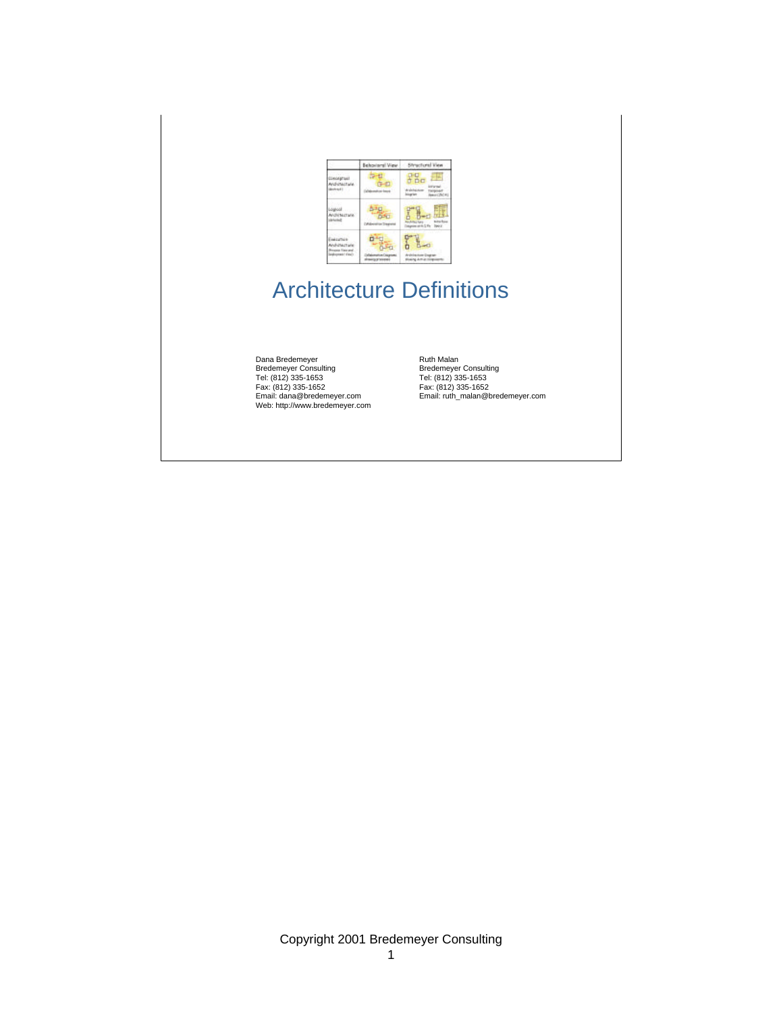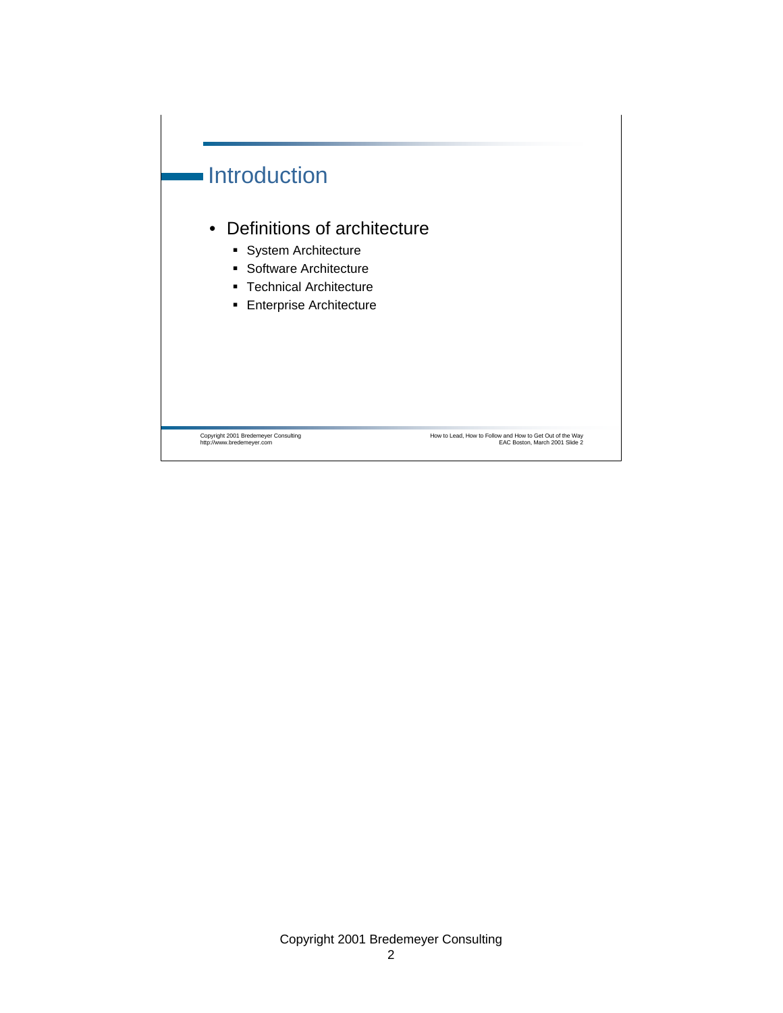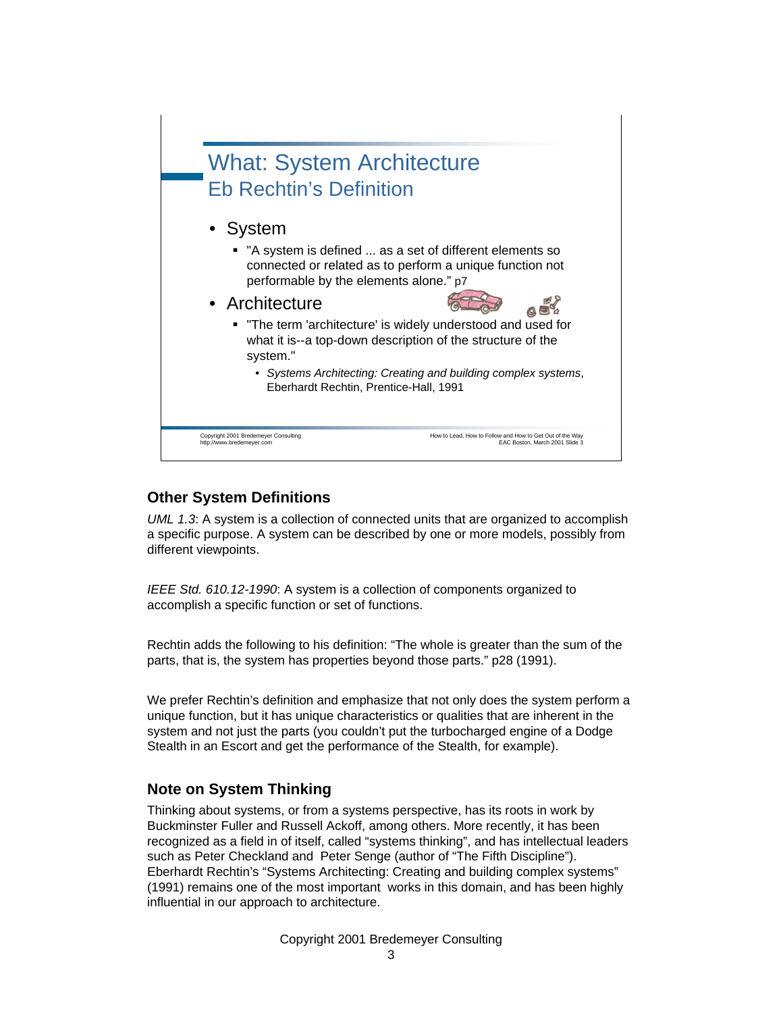

### **Other System Definitions**

*UML 1.3*: A system is a collection of connected units that are organized to accomplish a specific purpose. A system can be described by one or more models, possibly from different viewpoints.

*IEEE Std. 610.12-1990*: A system is a collection of components organized to accomplish a specific function or set of functions.

Rechtin adds the following to his definition: "The whole is greater than the sum of the parts, that is, the system has properties beyond those parts." p28 (1991).

We prefer Rechtin's definition and emphasize that not only does the system perform a unique function, but it has unique characteristics or qualities that are inherent in the system and not just the parts (you couldn't put the turbocharged engine of a Dodge Stealth in an Escort and get the performance of the Stealth, for example).

### **Note on System Thinking**

Thinking about systems, or from a systems perspective, has its roots in work by Buckminster Fuller and Russell Ackoff, among others. More recently, it has been recognized as a field in of itself, called "systems thinking", and has intellectual leaders such as Peter Checkland and Peter Senge (author of "The Fifth Discipline"). Eberhardt Rechtin's "Systems Architecting: Creating and building complex systems" (1991) remains one of the most important works in this domain, and has been highly influential in our approach to architecture.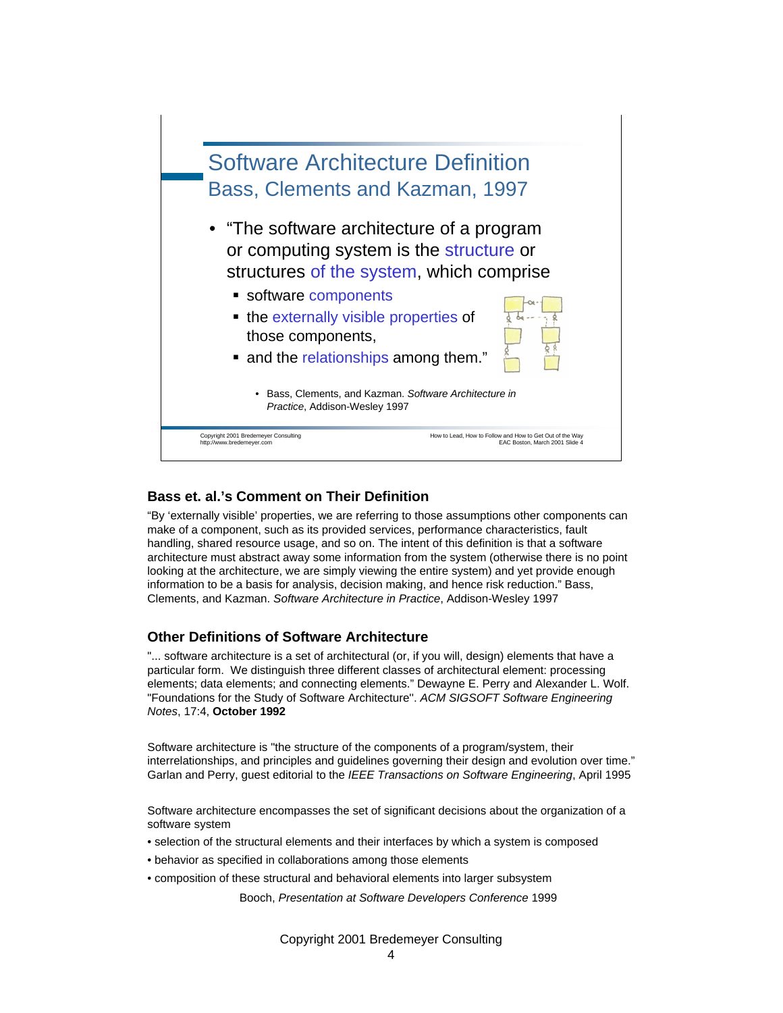

#### **Bass et. al.'s Comment on Their Definition**

"By 'externally visible' properties, we are referring to those assumptions other components can make of a component, such as its provided services, performance characteristics, fault handling, shared resource usage, and so on. The intent of this definition is that a software architecture must abstract away some information from the system (otherwise there is no point looking at the architecture, we are simply viewing the entire system) and yet provide enough information to be a basis for analysis, decision making, and hence risk reduction." Bass, Clements, and Kazman. *Software Architecture in Practice*, Addison-Wesley 1997

#### **Other Definitions of Software Architecture**

"... software architecture is a set of architectural (or, if you will, design) elements that have a particular form. We distinguish three different classes of architectural element: processing elements; data elements; and connecting elements." Dewayne E. Perry and Alexander L. Wolf. "Foundations for the Study of Software Architecture''. *ACM SIGSOFT Software Engineering Notes*, 17:4, **October 1992**

Software architecture is "the structure of the components of a program/system, their interrelationships, and principles and guidelines governing their design and evolution over time." Garlan and Perry, guest editorial to the *IEEE Transactions on Software Engineering*, April 1995

Software architecture encompasses the set of significant decisions about the organization of a software system

- selection of the structural elements and their interfaces by which a system is composed
- behavior as specified in collaborations among those elements
- composition of these structural and behavioral elements into larger subsystem

Booch, *Presentation at Software Developers Conference* 1999

Copyright 2001 Bredemeyer Consulting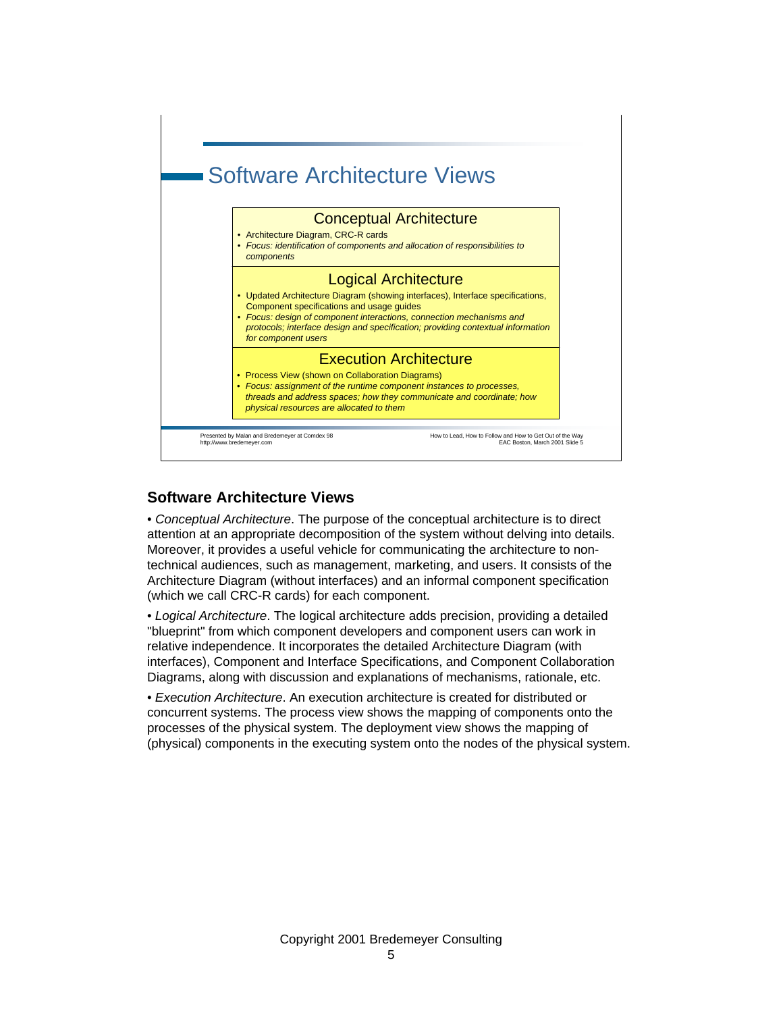

### **Software Architecture Views**

• *Conceptual Architecture*. The purpose of the conceptual architecture is to direct attention at an appropriate decomposition of the system without delving into details. Moreover, it provides a useful vehicle for communicating the architecture to nontechnical audiences, such as management, marketing, and users. It consists of the Architecture Diagram (without interfaces) and an informal component specification (which we call CRC-R cards) for each component.

• *Logical Architecture*. The logical architecture adds precision, providing a detailed "blueprint" from which component developers and component users can work in relative independence. It incorporates the detailed Architecture Diagram (with interfaces), Component and Interface Specifications, and Component Collaboration Diagrams, along with discussion and explanations of mechanisms, rationale, etc.

• *Execution Architecture*. An execution architecture is created for distributed or concurrent systems. The process view shows the mapping of components onto the processes of the physical system. The deployment view shows the mapping of (physical) components in the executing system onto the nodes of the physical system.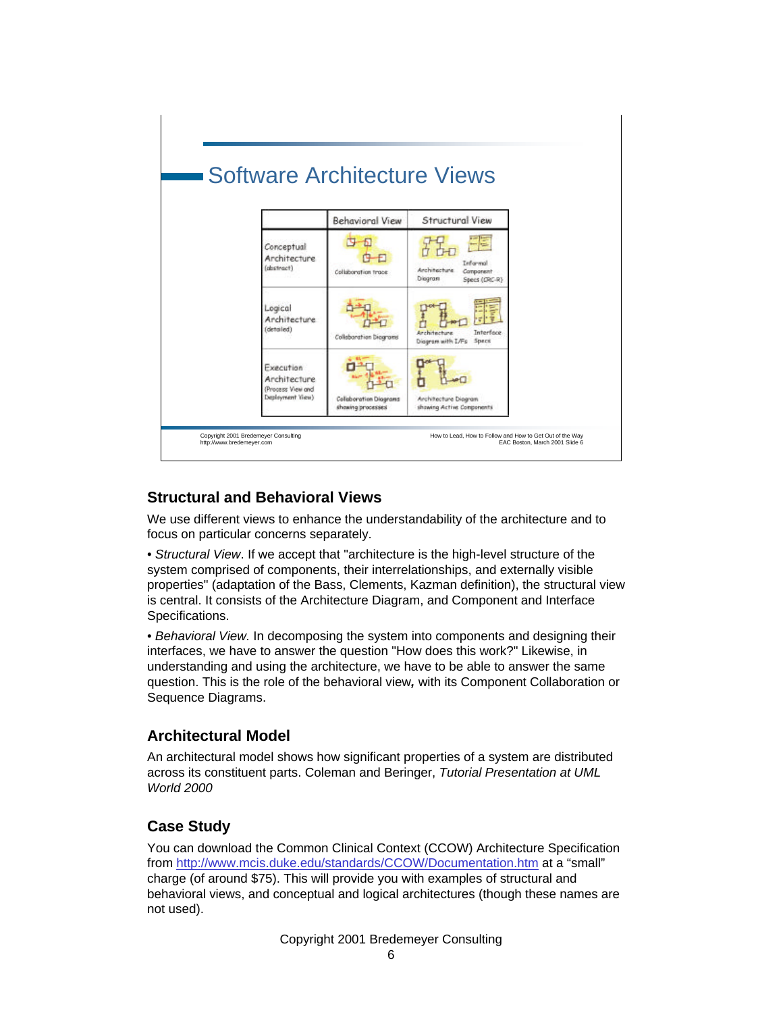

### **Structural and Behavioral Views**

We use different views to enhance the understandability of the architecture and to focus on particular concerns separately.

• *Structural View*. If we accept that "architecture is the high-level structure of the system comprised of components, their interrelationships, and externally visible properties" (adaptation of the Bass, Clements, Kazman definition), the structural view is central. It consists of the Architecture Diagram, and Component and Interface Specifications.

• *Behavioral View.* In decomposing the system into components and designing their interfaces, we have to answer the question "How does this work?" Likewise, in understanding and using the architecture, we have to be able to answer the same question. This is the role of the behavioral view*,* with its Component Collaboration or Sequence Diagrams.

### **Architectural Model**

An architectural model shows how significant properties of a system are distributed across its constituent parts. Coleman and Beringer, *Tutorial Presentation at UML World 2000*

### **Case Study**

You can download the Common Clinical Context (CCOW) Architecture Specification from http://www.mcis.duke.edu/standards/CCOW/Documentation.htm at a "small" charge (of around \$75). This will provide you with examples of structural and behavioral views, and conceptual and logical architectures (though these names are not used).

Copyright 2001 Bredemeyer Consulting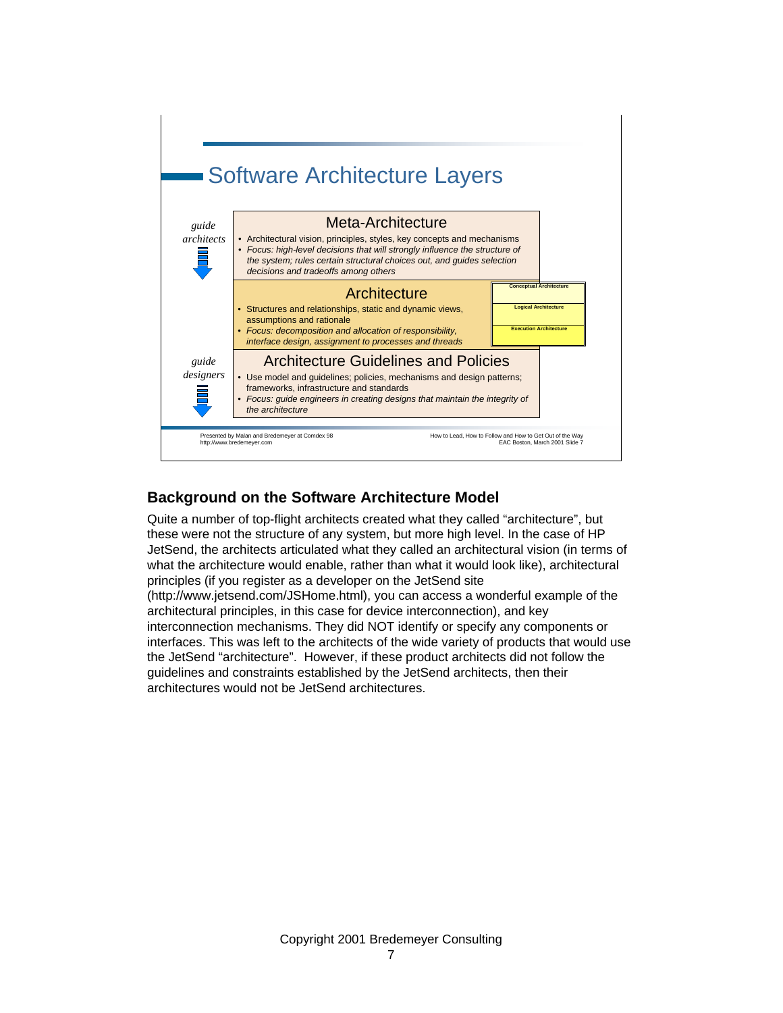

# **Background on the Software Architecture Model**

Quite a number of top-flight architects created what they called "architecture", but these were not the structure of any system, but more high level. In the case of HP JetSend, the architects articulated what they called an architectural vision (in terms of what the architecture would enable, rather than what it would look like), architectural principles (if you register as a developer on the JetSend site (http://www.jetsend.com/JSHome.html), you can access a wonderful example of the architectural principles, in this case for device interconnection), and key interconnection mechanisms. They did NOT identify or specify any components or interfaces. This was left to the architects of the wide variety of products that would use the JetSend "architecture". However, if these product architects did not follow the guidelines and constraints established by the JetSend architects, then their architectures would not be JetSend architectures.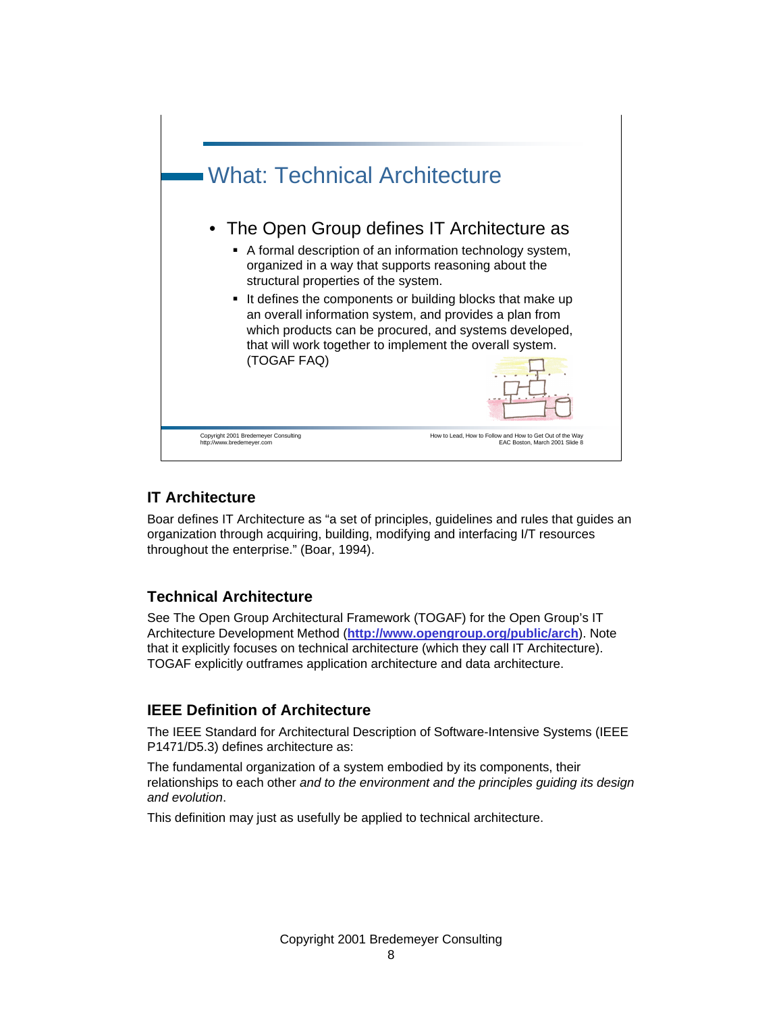

# **IT Architecture**

Boar defines IT Architecture as "a set of principles, guidelines and rules that guides an organization through acquiring, building, modifying and interfacing I/T resources throughout the enterprise." (Boar, 1994).

# **Technical Architecture**

See The Open Group Architectural Framework (TOGAF) for the Open Group's IT Architecture Development Method (**http://www.opengroup.org/public/arch**). Note that it explicitly focuses on technical architecture (which they call IT Architecture). TOGAF explicitly outframes application architecture and data architecture.

# **IEEE Definition of Architecture**

The IEEE Standard for Architectural Description of Software-Intensive Systems (IEEE P1471/D5.3) defines architecture as:

The fundamental organization of a system embodied by its components, their relationships to each other *and to the environment and the principles guiding its design and evolution*.

This definition may just as usefully be applied to technical architecture.